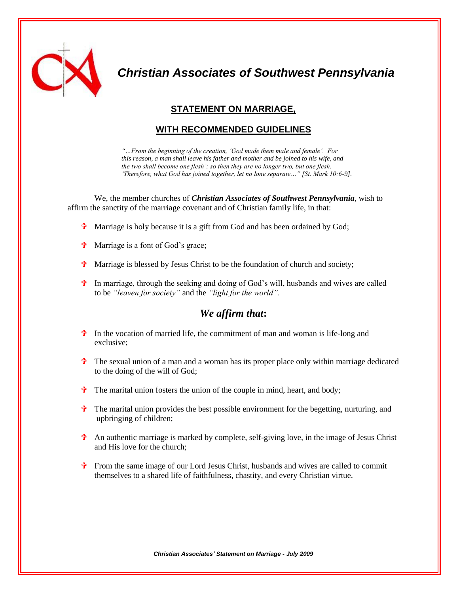

*Christian Associates of Southwest Pennsylvania*

# **STATEMENT ON MARRIAGE,**

## **WITH RECOMMENDED GUIDELINES**

*"…From the beginning of the creation, "God made them male and female". For this reason, a man shall leave his father and mother and be joined to his wife, and the two shall become one flesh"; so then they are no longer two, but one flesh. "Therefore, what God has joined together, let no lone separate…" [St. Mark 10:6-9].*

We, the member churches of *Christian Associates of Southwest Pennsylvania*, wish to affirm the sanctity of the marriage covenant and of Christian family life, in that:

- $\phi$  Marriage is holy because it is a gift from God and has been ordained by God;
- $\mathbf{\hat{P}}$  Marriage is a font of God's grace;
- $\mathbf{\hat{v}}$  Marriage is blessed by Jesus Christ to be the foundation of church and society;
- $\ddot{\mathbf{r}}$  In marriage, through the seeking and doing of God's will, husbands and wives are called to be *"leaven for society"* and the *"light for the world".*

# *We affirm that***:**

- $\hat{\mathbf{\tau}}$  In the vocation of married life, the commitment of man and woman is life-long and exclusive;
- $\hat{\tau}$  The sexual union of a man and a woman has its proper place only within marriage dedicated to the doing of the will of God;
- $\mathbf{\hat{r}}$  The marital union fosters the union of the couple in mind, heart, and body;
- $\hat{\tau}$  The marital union provides the best possible environment for the begetting, nurturing, and upbringing of children;
- $\hat{\mathbf{\tau}}$  An authentic marriage is marked by complete, self-giving love, in the image of Jesus Christ and His love for the church;
- $\hat{\mathbf{\tau}}$  From the same image of our Lord Jesus Christ, husbands and wives are called to commit themselves to a shared life of faithfulness, chastity, and every Christian virtue.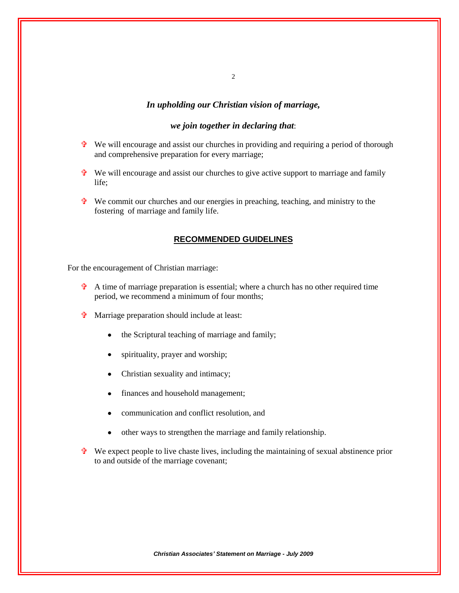### *In upholding our Christian vision of marriage,*

#### *we join together in declaring that*:

- $\overline{\mathbf{P}}$  We will encourage and assist our churches in providing and requiring a period of thorough and comprehensive preparation for every marriage;
- $\mathbf{\hat{P}}$  We will encourage and assist our churches to give active support to marriage and family life;
- $\mathbf{\hat{P}}$  We commit our churches and our energies in preaching, teaching, and ministry to the fostering of marriage and family life.

### **RECOMMENDED GUIDELINES**

For the encouragement of Christian marriage:

- $\hat{\mathbf{\tau}}$  A time of marriage preparation is essential; where a church has no other required time period, we recommend a minimum of four months;
- Marriage preparation should include at least:
	- the Scriptural teaching of marriage and family;
	- spirituality, prayer and worship;
	- Christian sexuality and intimacy;
	- finances and household management;  $\bullet$
	- communication and conflict resolution, and
	- other ways to strengthen the marriage and family relationship.
- $\mathbf{\hat{v}}$  We expect people to live chaste lives, including the maintaining of sexual abstinence prior to and outside of the marriage covenant;

2